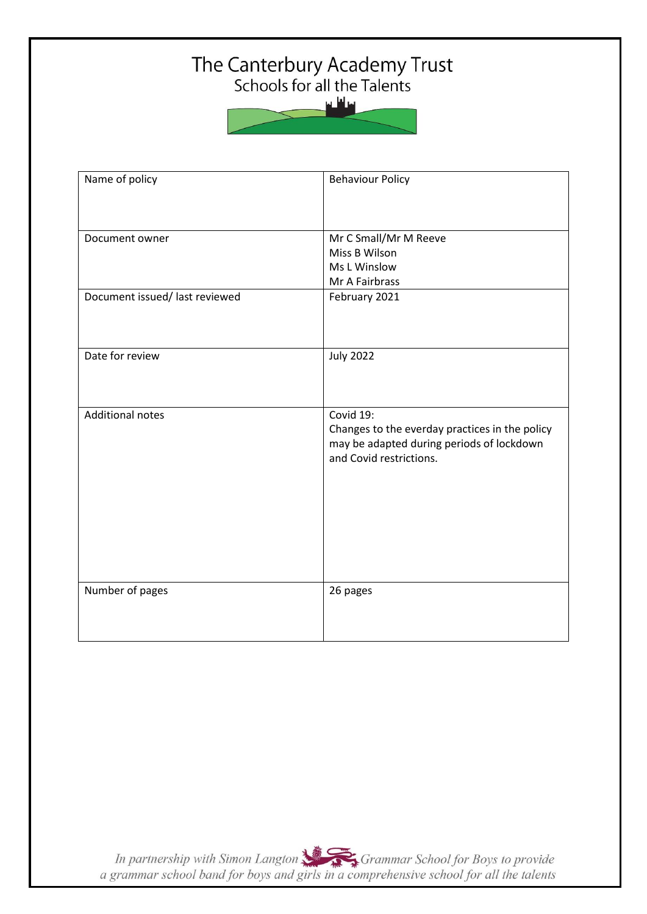# The Canterbury Academy Trust<br>Schools for all the Talents



| Name of policy                 | <b>Behaviour Policy</b>                                                                                                             |
|--------------------------------|-------------------------------------------------------------------------------------------------------------------------------------|
| Document owner                 | Mr C Small/Mr M Reeve<br>Miss B Wilson<br>Ms L Winslow<br>Mr A Fairbrass                                                            |
| Document issued/ last reviewed | February 2021                                                                                                                       |
| Date for review                | <b>July 2022</b>                                                                                                                    |
| <b>Additional notes</b>        | Covid 19:<br>Changes to the everday practices in the policy<br>may be adapted during periods of lockdown<br>and Covid restrictions. |
| Number of pages                | 26 pages                                                                                                                            |

In partnership with Simon Langton Sexting Grammar School for Boys to provide<br>a grammar school band for boys and girls in a comprehensive school for all the talents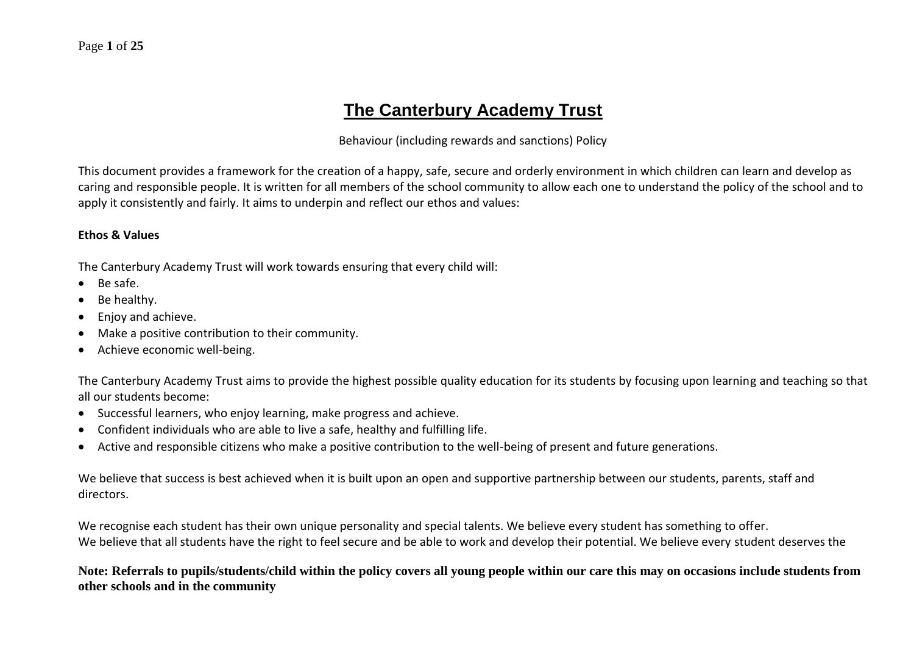## **The Canterbury Academy Trust**

#### Behaviour (including rewards and sanctions) Policy

This document provides a framework for the creation of a happy, safe, secure and orderly environment in which children can learn and develop as caring and responsible people. It is written for all members of the school community to allow each one to understand the policy of the school and to apply it consistently and fairly. It aims to underpin and reflect our ethos and values:

#### **Ethos & Values**

The Canterbury Academy Trust will work towards ensuring that every child will:

- Be safe.
- Be healthy.
- Enjoy and achieve.
- Make a positive contribution to their community.
- Achieve economic well-being.

The Canterbury Academy Trust aims to provide the highest possible quality education for its students by focusing upon learning and teaching so that all our students become:

- Successful learners, who enjoy learning, make progress and achieve.
- Confident individuals who are able to live a safe, healthy and fulfilling life.
- Active and responsible citizens who make a positive contribution to the well-being of present and future generations.

We believe that success is best achieved when it is built upon an open and supportive partnership between our students, parents, staff and directors.

We recognise each student has their own unique personality and special talents. We believe every student has something to offer. We believe that all students have the right to feel secure and be able to work and develop their potential. We believe every student deserves the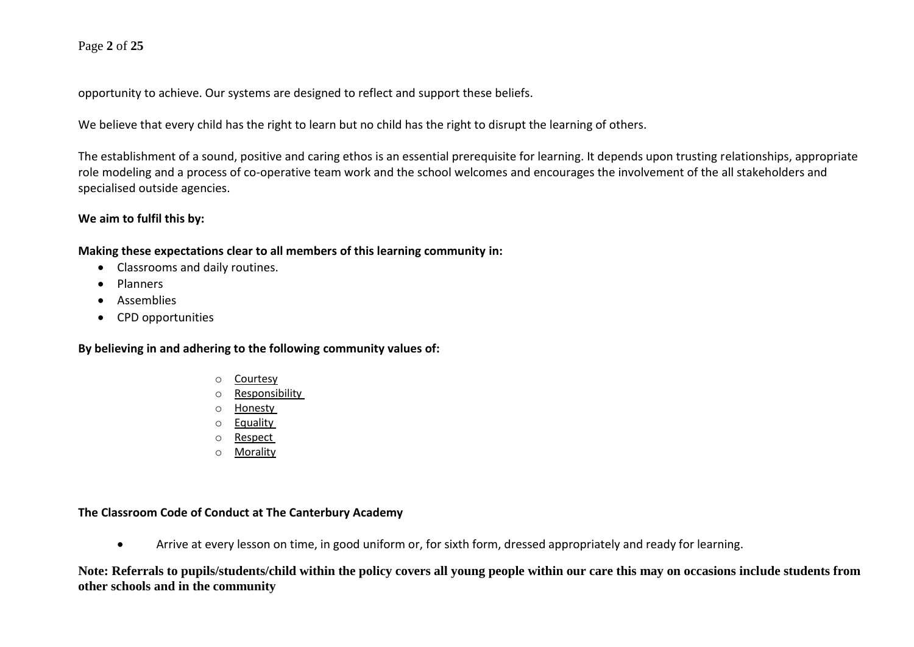#### Page **2** of **25**

opportunity to achieve. Our systems are designed to reflect and support these beliefs.

We believe that every child has the right to learn but no child has the right to disrupt the learning of others.

The establishment of a sound, positive and caring ethos is an essential prerequisite for learning. It depends upon trusting relationships, appropriate role modeling and a process of co-operative team work and the school welcomes and encourages the involvement of the all stakeholders and specialised outside agencies.

#### **We aim to fulfil this by:**

**Making these expectations clear to all members of this learning community in:**

- Classrooms and daily routines.
- Planners
- Assemblies
- CPD opportunities

**By believing in and adhering to the following community values of:**

- o Courtesy
- o Responsibility
- o Honesty
- o Equality
- o Respect
- o Morality

#### **The Classroom Code of Conduct at The Canterbury Academy**

• Arrive at every lesson on time, in good uniform or, for sixth form, dressed appropriately and ready for learning.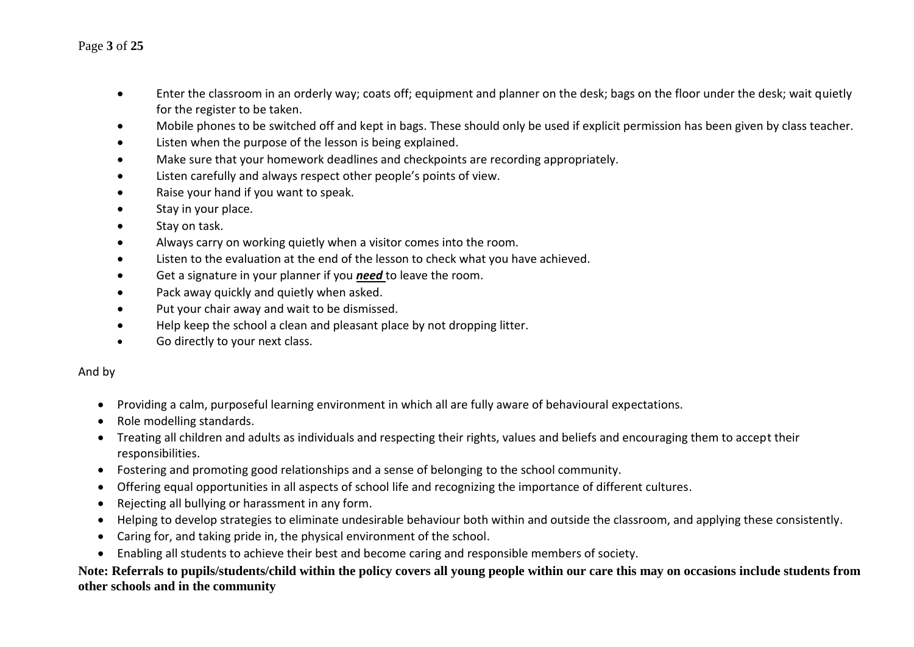#### Page **3** of **25**

- Enter the classroom in an orderly way; coats off; equipment and planner on the desk; bags on the floor under the desk; wait quietly for the register to be taken.
- Mobile phones to be switched off and kept in bags. These should only be used if explicit permission has been given by class teacher.
- Listen when the purpose of the lesson is being explained.
- Make sure that your homework deadlines and checkpoints are recording appropriately.
- Listen carefully and always respect other people's points of view.
- Raise your hand if you want to speak.
- Stay in your place.
- Stay on task.
- Always carry on working quietly when a visitor comes into the room.
- Listen to the evaluation at the end of the lesson to check what you have achieved.
- Get a signature in your planner if you *need* to leave the room.
- Pack away quickly and quietly when asked.
- Put your chair away and wait to be dismissed.
- Help keep the school a clean and pleasant place by not dropping litter.
- Go directly to your next class.

#### And by

- Providing a calm, purposeful learning environment in which all are fully aware of behavioural expectations.
- Role modelling standards.
- Treating all children and adults as individuals and respecting their rights, values and beliefs and encouraging them to accept their responsibilities.
- Fostering and promoting good relationships and a sense of belonging to the school community.
- Offering equal opportunities in all aspects of school life and recognizing the importance of different cultures.
- Rejecting all bullying or harassment in any form.
- Helping to develop strategies to eliminate undesirable behaviour both within and outside the classroom, and applying these consistently.
- Caring for, and taking pride in, the physical environment of the school.
- Enabling all students to achieve their best and become caring and responsible members of society.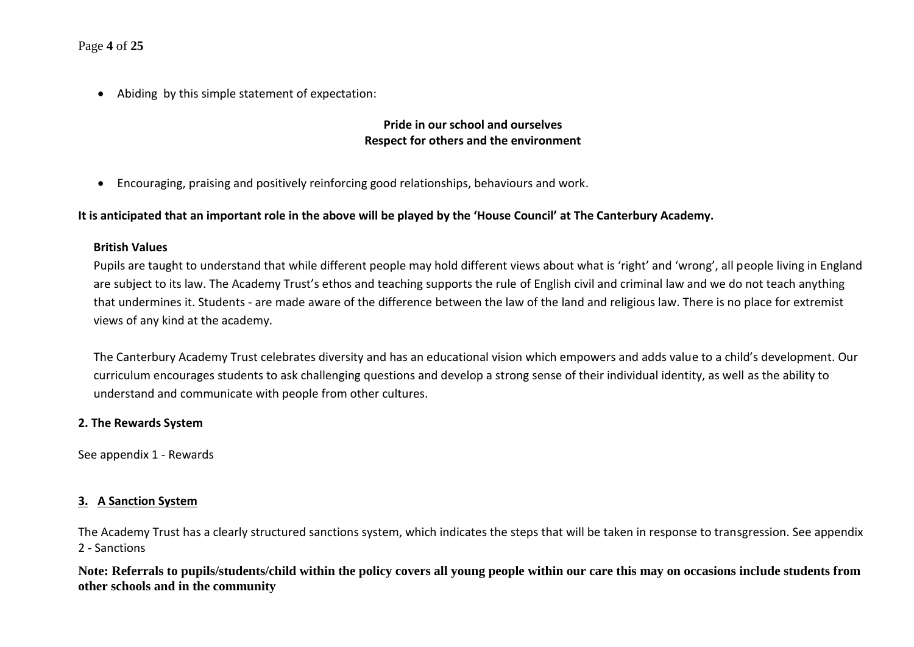#### Page **4** of **25**

• Abiding by this simple statement of expectation:

#### **Pride in our school and ourselves Respect for others and the environment**

• Encouraging, praising and positively reinforcing good relationships, behaviours and work.

#### **It is anticipated that an important role in the above will be played by the 'House Council' at The Canterbury Academy.**

#### **British Values**

Pupils are taught to understand that while different people may hold different views about what is 'right' and 'wrong', all people living in England are subject to its law. The Academy Trust's ethos and teaching supports the rule of English civil and criminal law and we do not teach anything that undermines it. Students - are made aware of the difference between the law of the land and religious law. There is no place for extremist views of any kind at the academy.

The Canterbury Academy Trust celebrates diversity and has an educational vision which empowers and adds value to a child's development. Our curriculum encourages students to ask challenging questions and develop a strong sense of their individual identity, as well as the ability to understand and communicate with people from other cultures.

#### **2. The Rewards System**

See appendix 1 - Rewards

#### **3. A Sanction System**

The Academy Trust has a clearly structured sanctions system, which indicates the steps that will be taken in response to transgression. See appendix 2 - Sanctions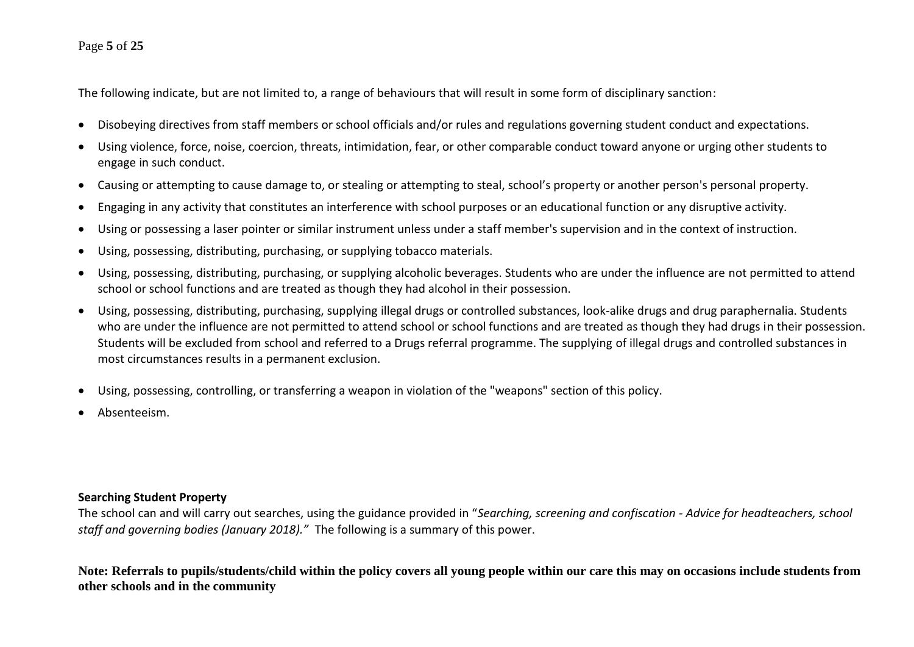#### Page **5** of **25**

The following indicate, but are not limited to, a range of behaviours that will result in some form of disciplinary sanction:

- Disobeying directives from staff members or school officials and/or rules and regulations governing student conduct and expectations.
- Using violence, force, noise, coercion, threats, intimidation, fear, or other comparable conduct toward anyone or urging other students to engage in such conduct.
- Causing or attempting to cause damage to, or stealing or attempting to steal, school's property or another person's personal property.
- Engaging in any activity that constitutes an interference with school purposes or an educational function or any disruptive activity.
- Using or possessing a laser pointer or similar instrument unless under a staff member's supervision and in the context of instruction.
- Using, possessing, distributing, purchasing, or supplying tobacco materials.
- Using, possessing, distributing, purchasing, or supplying alcoholic beverages. Students who are under the influence are not permitted to attend school or school functions and are treated as though they had alcohol in their possession.
- Using, possessing, distributing, purchasing, supplying illegal drugs or controlled substances, look-alike drugs and drug paraphernalia. Students who are under the influence are not permitted to attend school or school functions and are treated as though they had drugs in their possession. Students will be excluded from school and referred to a Drugs referral programme. The supplying of illegal drugs and controlled substances in most circumstances results in a permanent exclusion.
- Using, possessing, controlling, or transferring a weapon in violation of the "weapons" section of this policy.
- Absenteeism.

#### **Searching Student Property**

The school can and will carry out searches, using the guidance provided in "*Searching, screening and confiscation - Advice for headteachers, school staff and governing bodies (January 2018)."* The following is a summary of this power.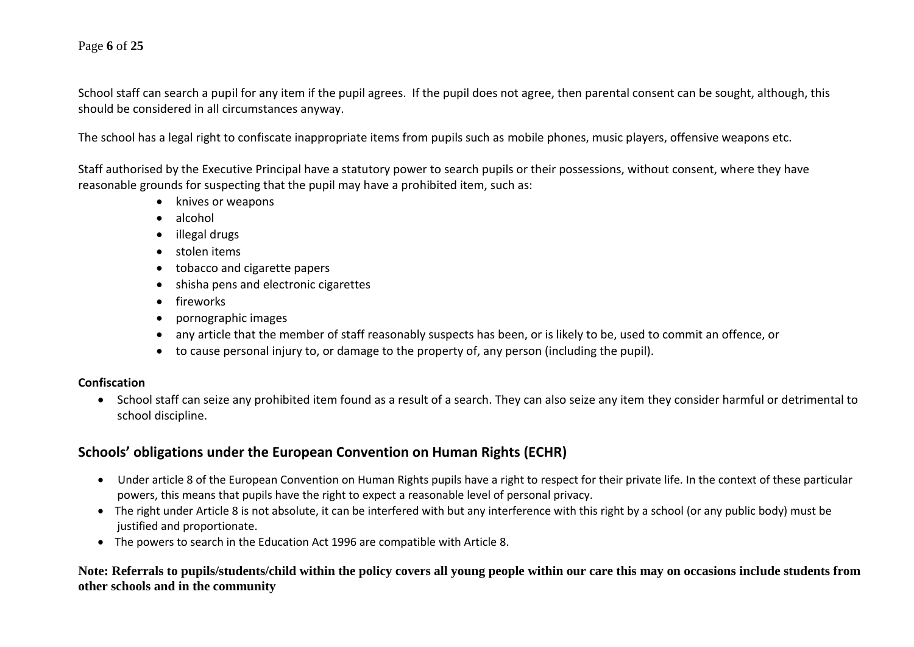#### Page **6** of **25**

School staff can search a pupil for any item if the pupil agrees. If the pupil does not agree, then parental consent can be sought, although, this should be considered in all circumstances anyway.

The school has a legal right to confiscate inappropriate items from pupils such as mobile phones, music players, offensive weapons etc.

Staff authorised by the Executive Principal have a statutory power to search pupils or their possessions, without consent, where they have reasonable grounds for suspecting that the pupil may have a prohibited item, such as:

- knives or weapons
- alcohol
- illegal drugs
- stolen items
- tobacco and cigarette papers
- shisha pens and electronic cigarettes
- fireworks
- pornographic images
- any article that the member of staff reasonably suspects has been, or is likely to be, used to commit an offence, or
- to cause personal injury to, or damage to the property of, any person (including the pupil).

#### **Confiscation**

• School staff can seize any prohibited item found as a result of a search. They can also seize any item they consider harmful or detrimental to school discipline.

#### **Schools' obligations under the European Convention on Human Rights (ECHR)**

- Under article 8 of the European Convention on Human Rights pupils have a right to respect for their private life. In the context of these particular powers, this means that pupils have the right to expect a reasonable level of personal privacy.
- The right under Article 8 is not absolute, it can be interfered with but any interference with this right by a school (or any public body) must be justified and proportionate.
- The powers to search in the Education Act 1996 are compatible with Article 8.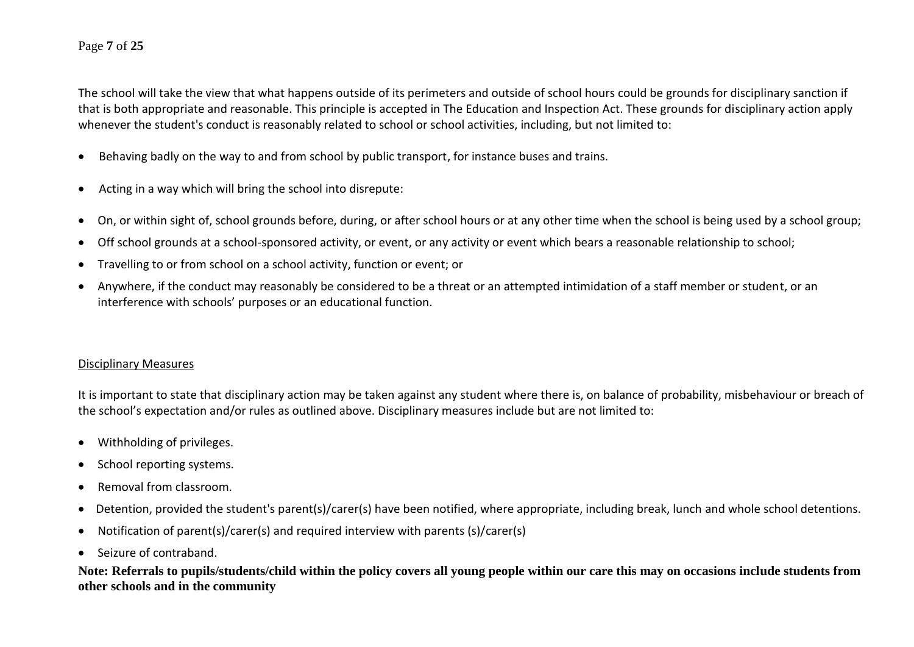#### Page **7** of **25**

The school will take the view that what happens outside of its perimeters and outside of school hours could be grounds for disciplinary sanction if that is both appropriate and reasonable. This principle is accepted in The Education and Inspection Act. These grounds for disciplinary action apply whenever the student's conduct is reasonably related to school or school activities, including, but not limited to:

- Behaving badly on the way to and from school by public transport, for instance buses and trains.
- Acting in a way which will bring the school into disrepute:
- On, or within sight of, school grounds before, during, or after school hours or at any other time when the school is being used by a school group;
- Off school grounds at a school-sponsored activity, or event, or any activity or event which bears a reasonable relationship to school;
- Travelling to or from school on a school activity, function or event; or
- Anywhere, if the conduct may reasonably be considered to be a threat or an attempted intimidation of a staff member or student, or an interference with schools' purposes or an educational function.

#### Disciplinary Measures

It is important to state that disciplinary action may be taken against any student where there is, on balance of probability, misbehaviour or breach of the school's expectation and/or rules as outlined above. Disciplinary measures include but are not limited to:

- Withholding of privileges.
- School reporting systems.
- Removal from classroom.
- Detention, provided the student's parent(s)/carer(s) have been notified, where appropriate, including break, lunch and whole school detentions.
- Notification of parent(s)/carer(s) and required interview with parents (s)/carer(s)
- Seizure of contraband.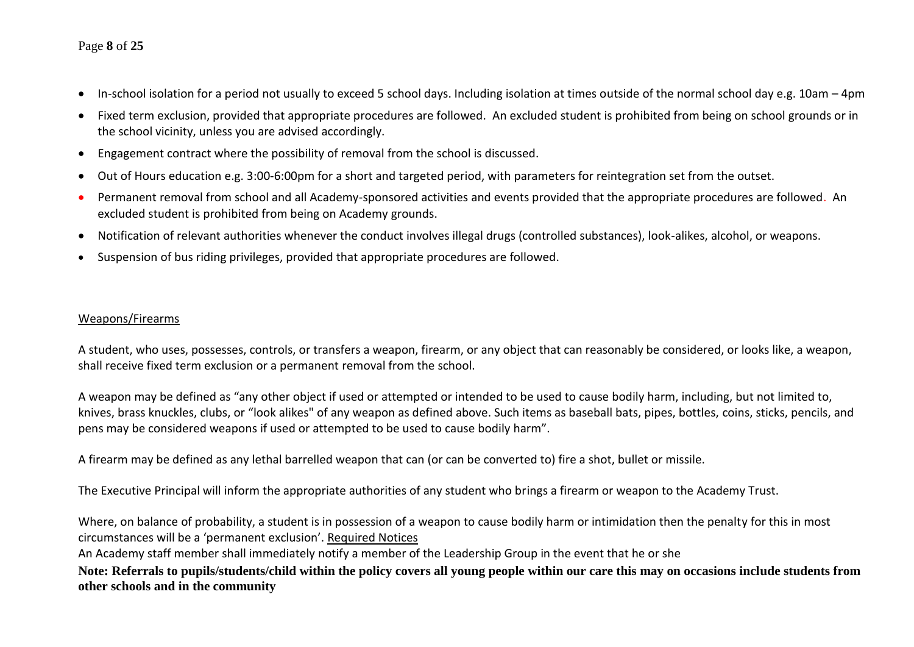#### Page **8** of **25**

- In-school isolation for a period not usually to exceed 5 school days. Including isolation at times outside of the normal school day e.g. 10am 4pm
- Fixed term exclusion, provided that appropriate procedures are followed. An excluded student is prohibited from being on school grounds or in the school vicinity, unless you are advised accordingly.
- Engagement contract where the possibility of removal from the school is discussed.
- Out of Hours education e.g. 3:00-6:00pm for a short and targeted period, with parameters for reintegration set from the outset.
- Permanent removal from school and all Academy-sponsored activities and events provided that the appropriate procedures are followed. An excluded student is prohibited from being on Academy grounds.
- Notification of relevant authorities whenever the conduct involves illegal drugs (controlled substances), look-alikes, alcohol, or weapons.
- Suspension of bus riding privileges, provided that appropriate procedures are followed.

#### Weapons/Firearms

A student, who uses, possesses, controls, or transfers a weapon, firearm, or any object that can reasonably be considered, or looks like, a weapon, shall receive fixed term exclusion or a permanent removal from the school.

A weapon may be defined as "any other object if used or attempted or intended to be used to cause bodily harm, including, but not limited to, knives, brass knuckles, clubs, or "look alikes" of any weapon as defined above. Such items as baseball bats, pipes, bottles, coins, sticks, pencils, and pens may be considered weapons if used or attempted to be used to cause bodily harm".

A firearm may be defined as any lethal barrelled weapon that can (or can be converted to) fire a shot, bullet or missile.

The Executive Principal will inform the appropriate authorities of any student who brings a firearm or weapon to the Academy Trust.

Where, on balance of probability, a student is in possession of a weapon to cause bodily harm or intimidation then the penalty for this in most circumstances will be a 'permanent exclusion'. Required Notices

An Academy staff member shall immediately notify a member of the Leadership Group in the event that he or she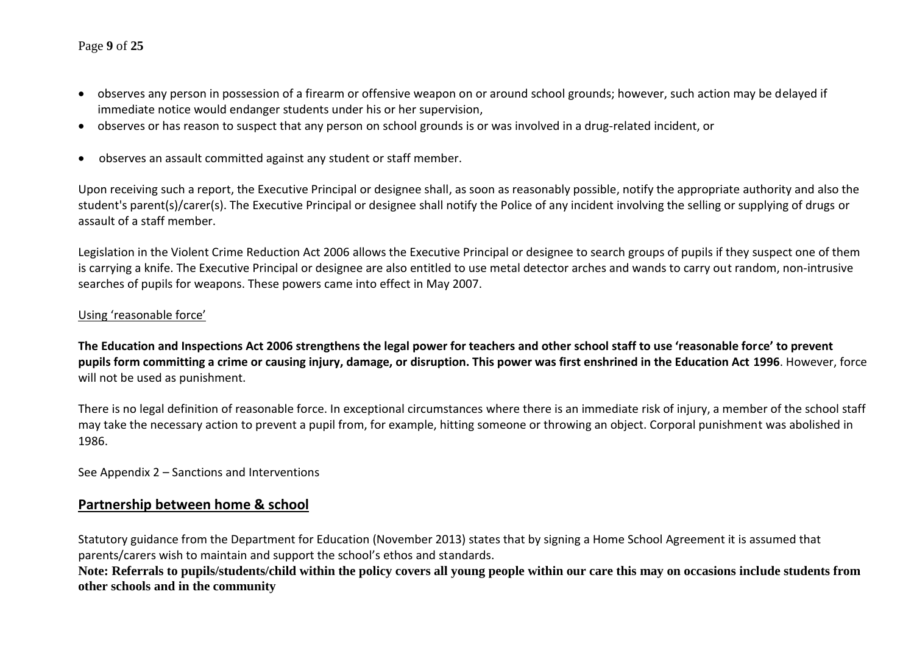#### Page **9** of **25**

- observes any person in possession of a firearm or offensive weapon on or around school grounds; however, such action may be delayed if immediate notice would endanger students under his or her supervision,
- observes or has reason to suspect that any person on school grounds is or was involved in a drug-related incident, or
- observes an assault committed against any student or staff member.

Upon receiving such a report, the Executive Principal or designee shall, as soon as reasonably possible, notify the appropriate authority and also the student's parent(s)/carer(s). The Executive Principal or designee shall notify the Police of any incident involving the selling or supplying of drugs or assault of a staff member.

Legislation in the Violent Crime Reduction Act 2006 allows the Executive Principal or designee to search groups of pupils if they suspect one of them is carrying a knife. The Executive Principal or designee are also entitled to use metal detector arches and wands to carry out random, non-intrusive searches of pupils for weapons. These powers came into effect in May 2007.

#### Using 'reasonable force'

**The Education and Inspections Act 2006 strengthens the legal power for teachers and other school staff to use 'reasonable force' to prevent pupils form committing a crime or causing injury, damage, or disruption. This power was first enshrined in the Education Act 1996**. However, force will not be used as punishment.

There is no legal definition of reasonable force. In exceptional circumstances where there is an immediate risk of injury, a member of the school staff may take the necessary action to prevent a pupil from, for example, hitting someone or throwing an object. Corporal punishment was abolished in 1986.

See Appendix 2 – Sanctions and Interventions

#### **Partnership between home & school**

Statutory guidance from the Department for Education (November 2013) states that by signing a Home School Agreement it is assumed that parents/carers wish to maintain and support the school's ethos and standards.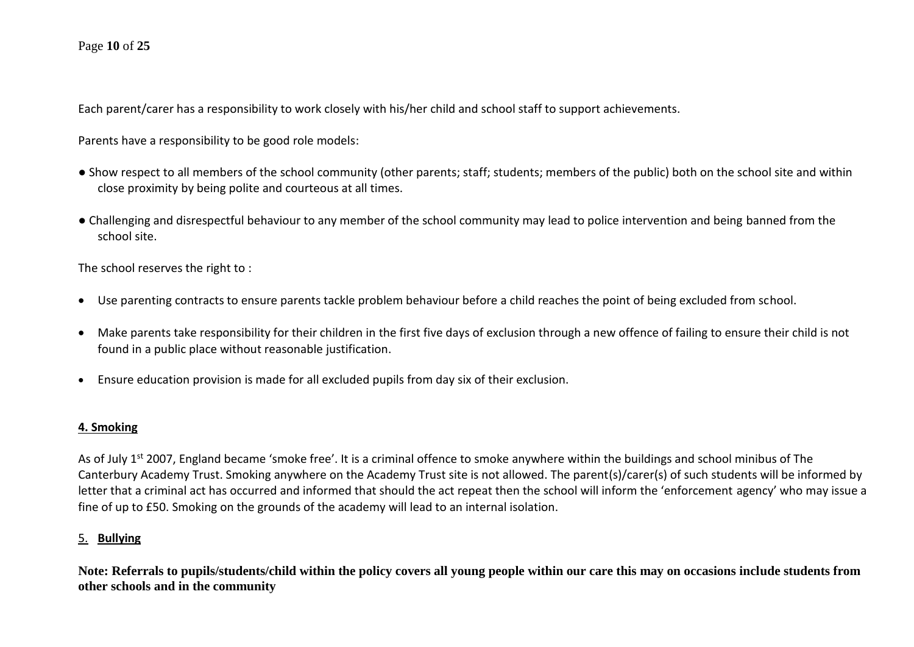Each parent/carer has a responsibility to work closely with his/her child and school staff to support achievements.

Parents have a responsibility to be good role models:

- Show respect to all members of the school community (other parents; staff; students; members of the public) both on the school site and within close proximity by being polite and courteous at all times.
- Challenging and disrespectful behaviour to any member of the school community may lead to police intervention and being banned from the school site.

The school reserves the right to :

- Use parenting contracts to ensure parents tackle problem behaviour before a child reaches the point of being excluded from school.
- Make parents take responsibility for their children in the first five days of exclusion through a new offence of failing to ensure their child is not found in a public place without reasonable justification.
- Ensure education provision is made for all excluded pupils from day six of their exclusion.

#### **4. Smoking**

As of July 1<sup>st</sup> 2007, England became 'smoke free'. It is a criminal offence to smoke anywhere within the buildings and school minibus of The Canterbury Academy Trust. Smoking anywhere on the Academy Trust site is not allowed. The parent(s)/carer(s) of such students will be informed by letter that a criminal act has occurred and informed that should the act repeat then the school will inform the 'enforcement agency' who may issue a fine of up to £50. Smoking on the grounds of the academy will lead to an internal isolation.

#### 5. **Bullying**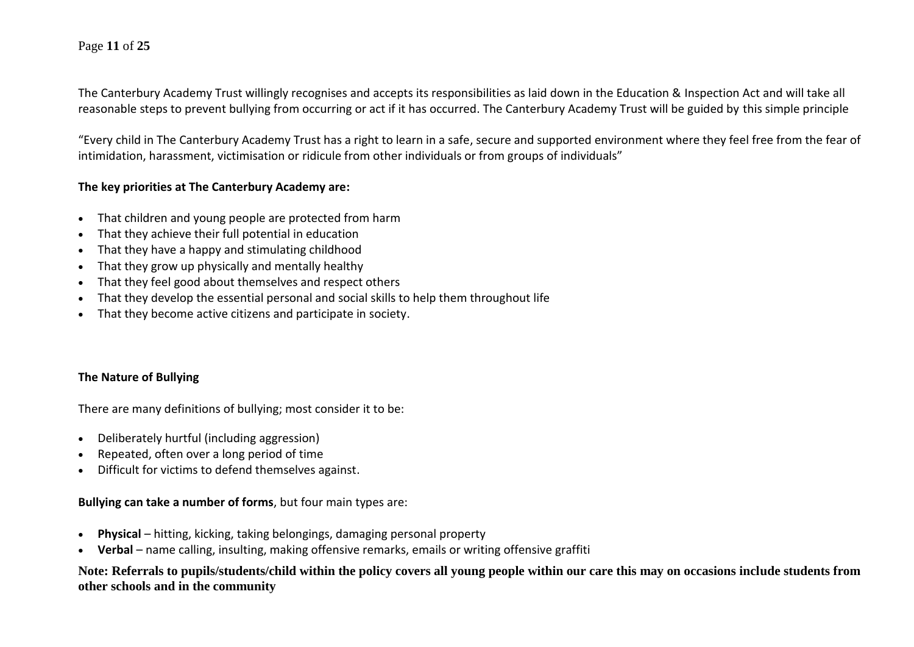#### Page **11** of **25**

The Canterbury Academy Trust willingly recognises and accepts its responsibilities as laid down in the Education & Inspection Act and will take all reasonable steps to prevent bullying from occurring or act if it has occurred. The Canterbury Academy Trust will be guided by this simple principle

"Every child in The Canterbury Academy Trust has a right to learn in a safe, secure and supported environment where they feel free from the fear of intimidation, harassment, victimisation or ridicule from other individuals or from groups of individuals"

#### **The key priorities at The Canterbury Academy are:**

- That children and young people are protected from harm
- That they achieve their full potential in education
- That they have a happy and stimulating childhood
- That they grow up physically and mentally healthy
- That they feel good about themselves and respect others
- That they develop the essential personal and social skills to help them throughout life
- That they become active citizens and participate in society.

#### **The Nature of Bullying**

There are many definitions of bullying; most consider it to be:

- Deliberately hurtful (including aggression)
- Repeated, often over a long period of time
- Difficult for victims to defend themselves against.

#### **Bullying can take a number of forms**, but four main types are:

- **Physical** hitting, kicking, taking belongings, damaging personal property
- **Verbal** name calling, insulting, making offensive remarks, emails or writing offensive graffiti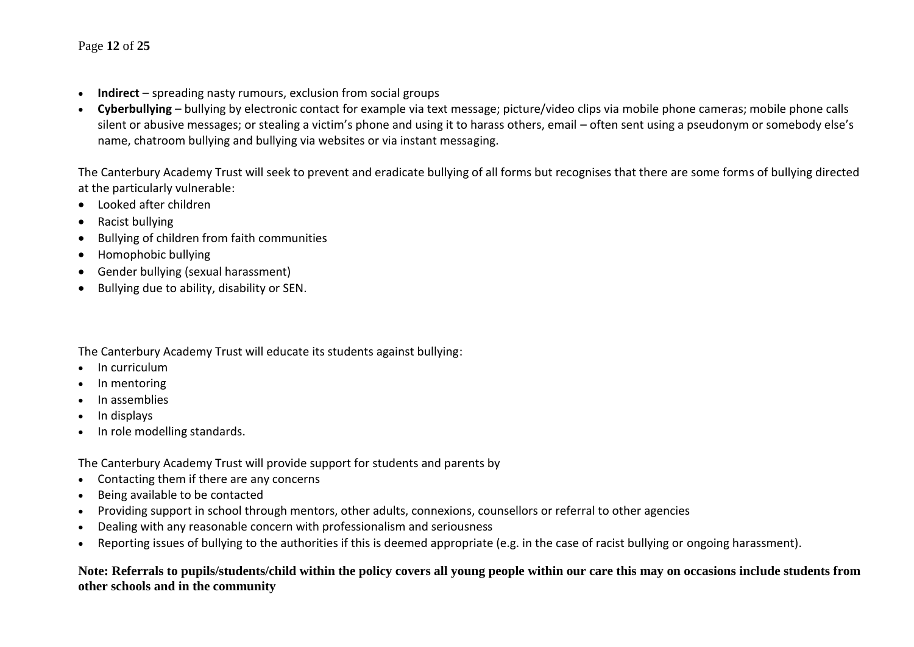#### Page **12** of **25**

- **Indirect** spreading nasty rumours, exclusion from social groups
- **Cyberbullying** bullying by electronic contact for example via text message; picture/video clips via mobile phone cameras; mobile phone calls silent or abusive messages; or stealing a victim's phone and using it to harass others, email – often sent using a pseudonym or somebody else's name, chatroom bullying and bullying via websites or via instant messaging.

The Canterbury Academy Trust will seek to prevent and eradicate bullying of all forms but recognises that there are some forms of bullying directed at the particularly vulnerable:

- Looked after children
- Racist bullying
- Bullying of children from faith communities
- Homophobic bullying
- Gender bullying (sexual harassment)
- Bullying due to ability, disability or SEN.

#### The Canterbury Academy Trust will educate its students against bullying:

- In curriculum
- In mentoring
- In assemblies
- In displays
- In role modelling standards.

The Canterbury Academy Trust will provide support for students and parents by

- Contacting them if there are any concerns
- Being available to be contacted
- Providing support in school through mentors, other adults, connexions, counsellors or referral to other agencies
- Dealing with any reasonable concern with professionalism and seriousness
- Reporting issues of bullying to the authorities if this is deemed appropriate (e.g. in the case of racist bullying or ongoing harassment).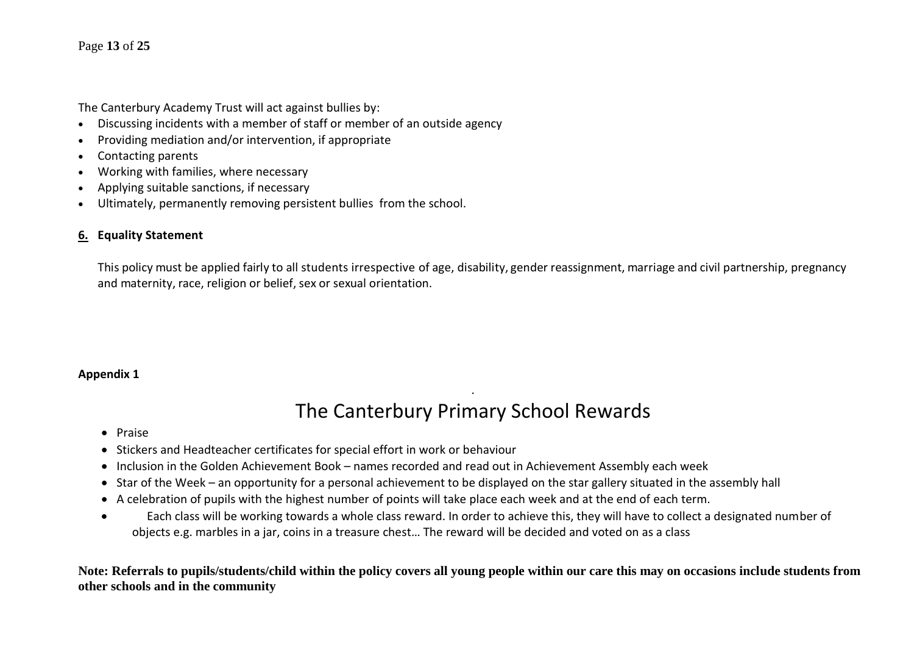#### Page **13** of **25**

The Canterbury Academy Trust will act against bullies by:

- Discussing incidents with a member of staff or member of an outside agency
- Providing mediation and/or intervention, if appropriate
- Contacting parents
- Working with families, where necessary
- Applying suitable sanctions, if necessary
- Ultimately, permanently removing persistent bullies from the school.

#### **6. Equality Statement**

This policy must be applied fairly to all students irrespective of age, disability, gender reassignment, marriage and civil partnership, pregnancy and maternity, race, religion or belief, sex or sexual orientation.

#### **Appendix 1**

## . The Canterbury Primary School Rewards

- Praise
- Stickers and Headteacher certificates for special effort in work or behaviour
- Inclusion in the Golden Achievement Book names recorded and read out in Achievement Assembly each week
- Star of the Week an opportunity for a personal achievement to be displayed on the star gallery situated in the assembly hall
- A celebration of pupils with the highest number of points will take place each week and at the end of each term.
- Each class will be working towards a whole class reward. In order to achieve this, they will have to collect a designated number of objects e.g. marbles in a jar, coins in a treasure chest… The reward will be decided and voted on as a class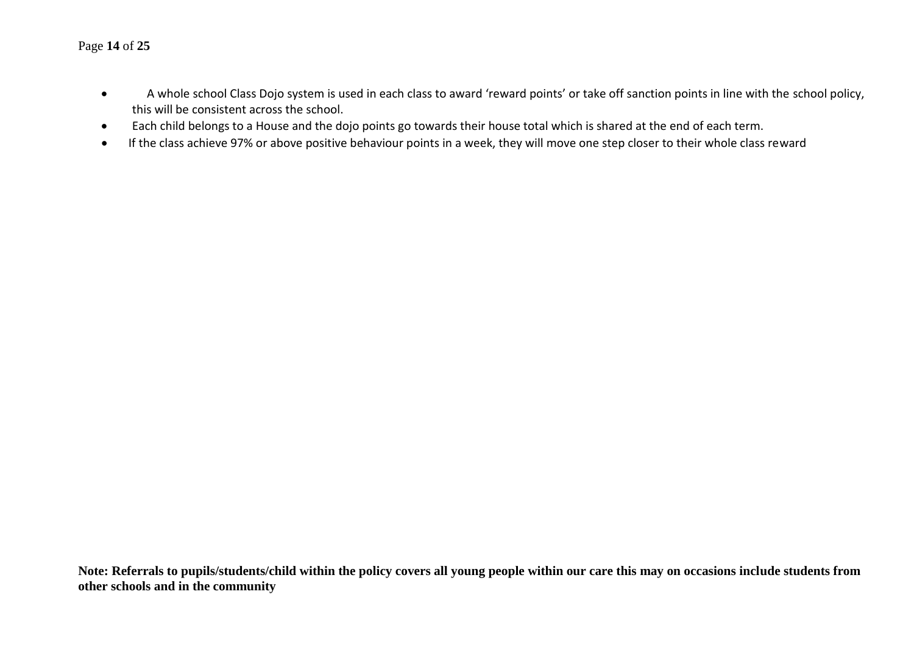#### Page **14** of **25**

- A whole school Class Dojo system is used in each class to award 'reward points' or take off sanction points in line with the school policy, this will be consistent across the school.
- Each child belongs to a House and the dojo points go towards their house total which is shared at the end of each term.
- If the class achieve 97% or above positive behaviour points in a week, they will move one step closer to their whole class reward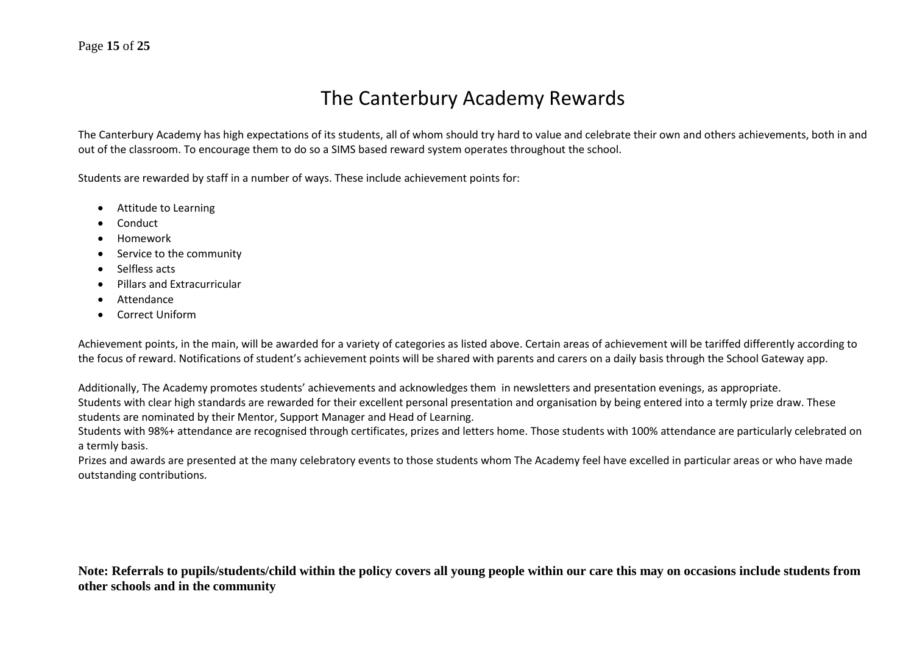## The Canterbury Academy Rewards

The Canterbury Academy has high expectations of its students, all of whom should try hard to value and celebrate their own and others achievements, both in and out of the classroom. To encourage them to do so a SIMS based reward system operates throughout the school.

Students are rewarded by staff in a number of ways. These include achievement points for:

- Attitude to Learning
- Conduct
- Homework
- Service to the community
- Selfless acts
- Pillars and Extracurricular
- Attendance
- Correct Uniform

Achievement points, in the main, will be awarded for a variety of categories as listed above. Certain areas of achievement will be tariffed differently according to the focus of reward. Notifications of student's achievement points will be shared with parents and carers on a daily basis through the School Gateway app.

Additionally, The Academy promotes students' achievements and acknowledges them in newsletters and presentation evenings, as appropriate. Students with clear high standards are rewarded for their excellent personal presentation and organisation by being entered into a termly prize draw. These students are nominated by their Mentor, Support Manager and Head of Learning.

Students with 98%+ attendance are recognised through certificates, prizes and letters home. Those students with 100% attendance are particularly celebrated on a termly basis.

Prizes and awards are presented at the many celebratory events to those students whom The Academy feel have excelled in particular areas or who have made outstanding contributions.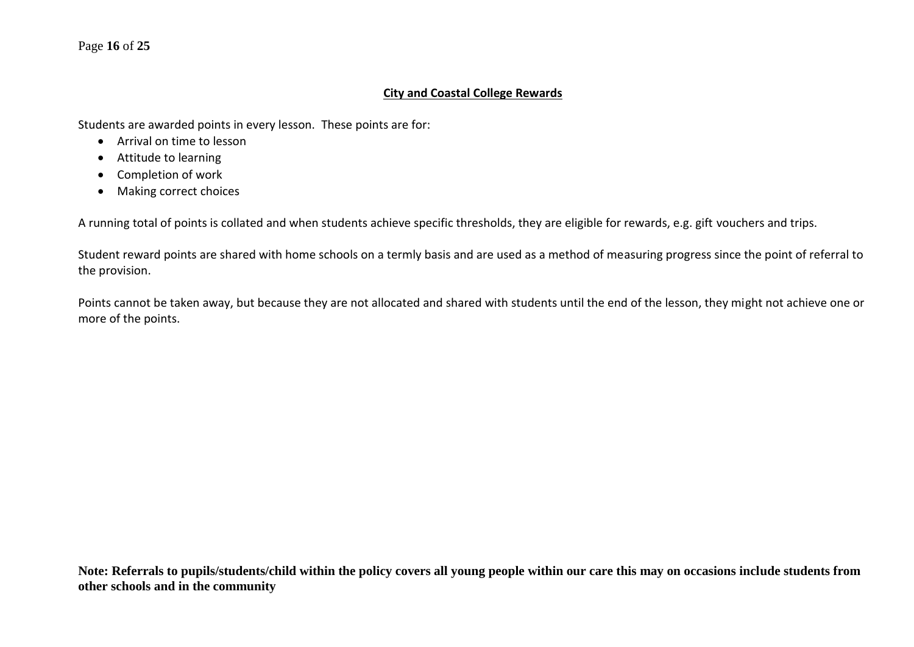#### Page **16** of **25**

#### **City and Coastal College Rewards**

Students are awarded points in every lesson. These points are for:

- Arrival on time to lesson
- Attitude to learning
- Completion of work
- Making correct choices

A running total of points is collated and when students achieve specific thresholds, they are eligible for rewards, e.g. gift vouchers and trips.

Student reward points are shared with home schools on a termly basis and are used as a method of measuring progress since the point of referral to the provision.

Points cannot be taken away, but because they are not allocated and shared with students until the end of the lesson, they might not achieve one or more of the points.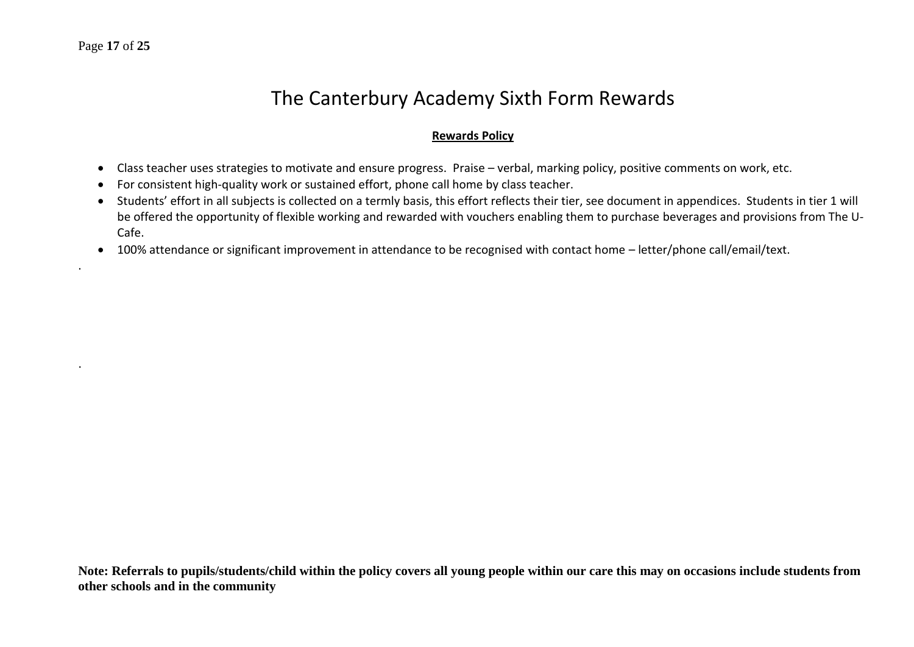.

.

## The Canterbury Academy Sixth Form Rewards

#### **Rewards Policy**

- Class teacher uses strategies to motivate and ensure progress. Praise verbal, marking policy, positive comments on work, etc.
- For consistent high-quality work or sustained effort, phone call home by class teacher.
- Students' effort in all subjects is collected on a termly basis, this effort reflects their tier, see document in appendices. Students in tier 1 will be offered the opportunity of flexible working and rewarded with vouchers enabling them to purchase beverages and provisions from The U-Cafe.
- 100% attendance or significant improvement in attendance to be recognised with contact home letter/phone call/email/text.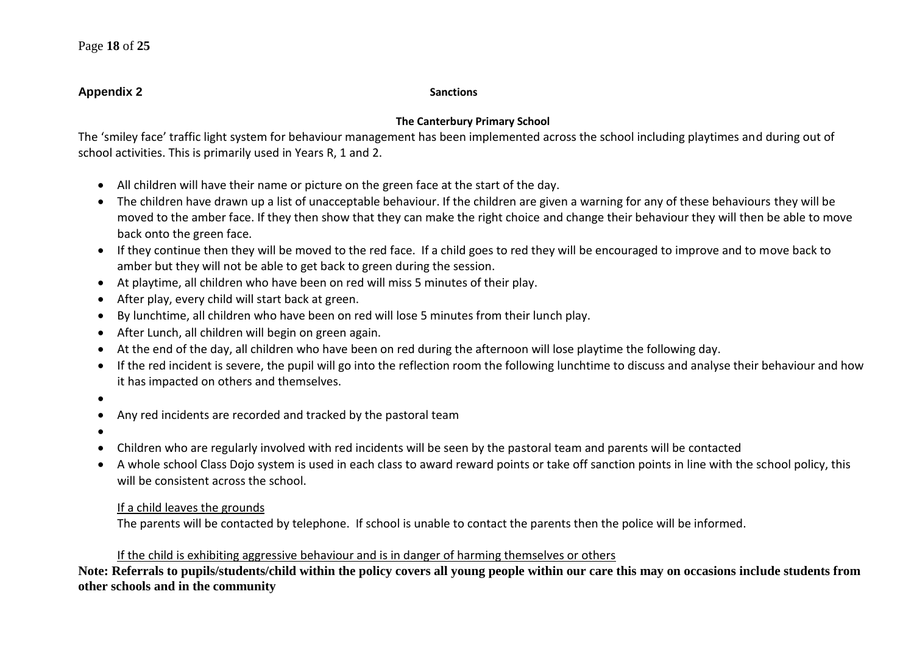#### **Appendix 2** Sanctions

#### **The Canterbury Primary School**

The 'smiley face' traffic light system for behaviour management has been implemented across the school including playtimes and during out of school activities. This is primarily used in Years R, 1 and 2.

- All children will have their name or picture on the green face at the start of the day.
- The children have drawn up a list of unacceptable behaviour. If the children are given a warning for any of these behaviours they will be moved to the amber face. If they then show that they can make the right choice and change their behaviour they will then be able to move back onto the green face.
- If they continue then they will be moved to the red face. If a child goes to red they will be encouraged to improve and to move back to amber but they will not be able to get back to green during the session.
- At playtime, all children who have been on red will miss 5 minutes of their play.
- After play, every child will start back at green.
- By lunchtime, all children who have been on red will lose 5 minutes from their lunch play.
- After Lunch, all children will begin on green again.
- At the end of the day, all children who have been on red during the afternoon will lose playtime the following day.
- If the red incident is severe, the pupil will go into the reflection room the following lunchtime to discuss and analyse their behaviour and how it has impacted on others and themselves.
- •
- Any red incidents are recorded and tracked by the pastoral team
- •
- Children who are regularly involved with red incidents will be seen by the pastoral team and parents will be contacted
- A whole school Class Dojo system is used in each class to award reward points or take off sanction points in line with the school policy, this will be consistent across the school.

#### If a child leaves the grounds

The parents will be contacted by telephone. If school is unable to contact the parents then the police will be informed.

### If the child is exhibiting aggressive behaviour and is in danger of harming themselves or others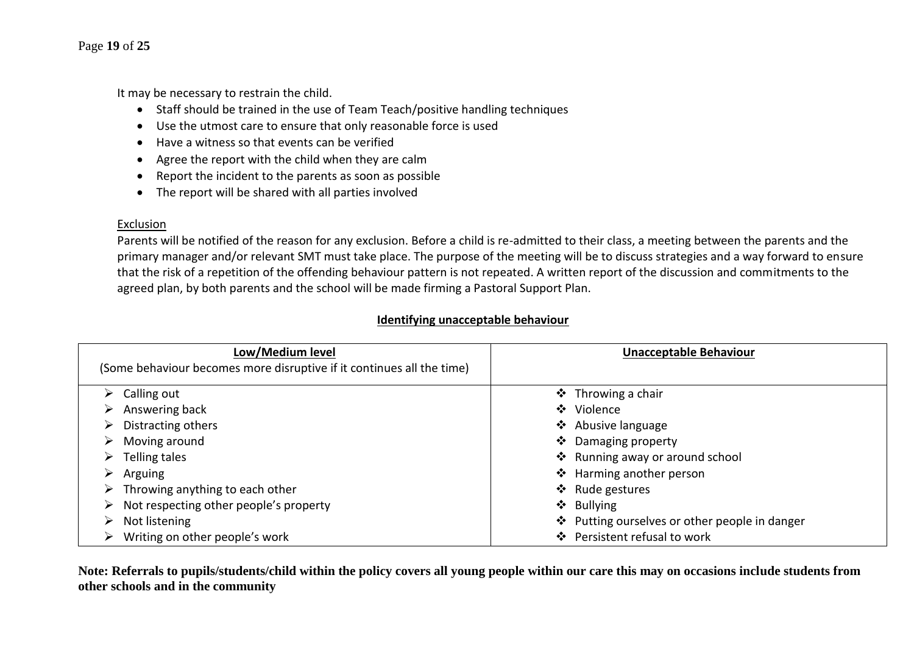#### Page **19** of **25**

It may be necessary to restrain the child.

- Staff should be trained in the use of Team Teach/positive handling techniques
- Use the utmost care to ensure that only reasonable force is used
- Have a witness so that events can be verified
- Agree the report with the child when they are calm
- Report the incident to the parents as soon as possible
- The report will be shared with all parties involved

#### Exclusion

Parents will be notified of the reason for any exclusion. Before a child is re-admitted to their class, a meeting between the parents and the primary manager and/or relevant SMT must take place. The purpose of the meeting will be to discuss strategies and a way forward to ensure that the risk of a repetition of the offending behaviour pattern is not repeated. A written report of the discussion and commitments to the agreed plan, by both parents and the school will be made firming a Pastoral Support Plan.

#### **Identifying unacceptable behaviour**

| Low/Medium level                                                      | <b>Unacceptable Behaviour</b>                 |
|-----------------------------------------------------------------------|-----------------------------------------------|
| (Some behaviour becomes more disruptive if it continues all the time) |                                               |
| $\triangleright$ Calling out                                          | ❖ Throwing a chair                            |
| Answering back                                                        | Violence<br>$\mathbf{A}$                      |
| Distracting others                                                    | ❖ Abusive language                            |
| Moving around                                                         | Damaging property<br>❖                        |
| Telling tales<br>➤                                                    | ❖ Running away or around school               |
| Arguing                                                               | ❖ Harming another person                      |
| $\triangleright$ Throwing anything to each other                      | ❖ Rude gestures                               |
| Not respecting other people's property                                | ❖<br><b>Bullying</b>                          |
| Not listening                                                         | ❖ Putting ourselves or other people in danger |
| Writing on other people's work                                        | Persistent refusal to work<br>$\mathbf{A}$    |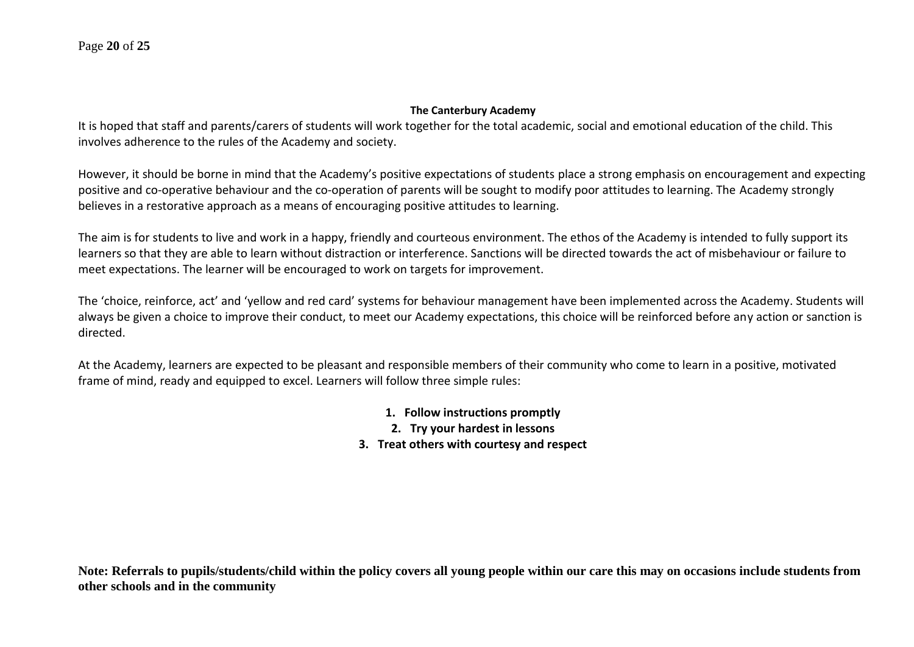#### **The Canterbury Academy**

It is hoped that staff and parents/carers of students will work together for the total academic, social and emotional education of the child. This involves adherence to the rules of the Academy and society.

However, it should be borne in mind that the Academy's positive expectations of students place a strong emphasis on encouragement and expecting positive and co-operative behaviour and the co-operation of parents will be sought to modify poor attitudes to learning. The Academy strongly believes in a restorative approach as a means of encouraging positive attitudes to learning.

The aim is for students to live and work in a happy, friendly and courteous environment. The ethos of the Academy is intended to fully support its learners so that they are able to learn without distraction or interference. Sanctions will be directed towards the act of misbehaviour or failure to meet expectations. The learner will be encouraged to work on targets for improvement.

The 'choice, reinforce, act' and 'yellow and red card' systems for behaviour management have been implemented across the Academy. Students will always be given a choice to improve their conduct, to meet our Academy expectations, this choice will be reinforced before any action or sanction is directed.

At the Academy, learners are expected to be pleasant and responsible members of their community who come to learn in a positive, motivated frame of mind, ready and equipped to excel. Learners will follow three simple rules:

- **1. Follow instructions promptly**
- **2. Try your hardest in lessons**
- **3. Treat others with courtesy and respect**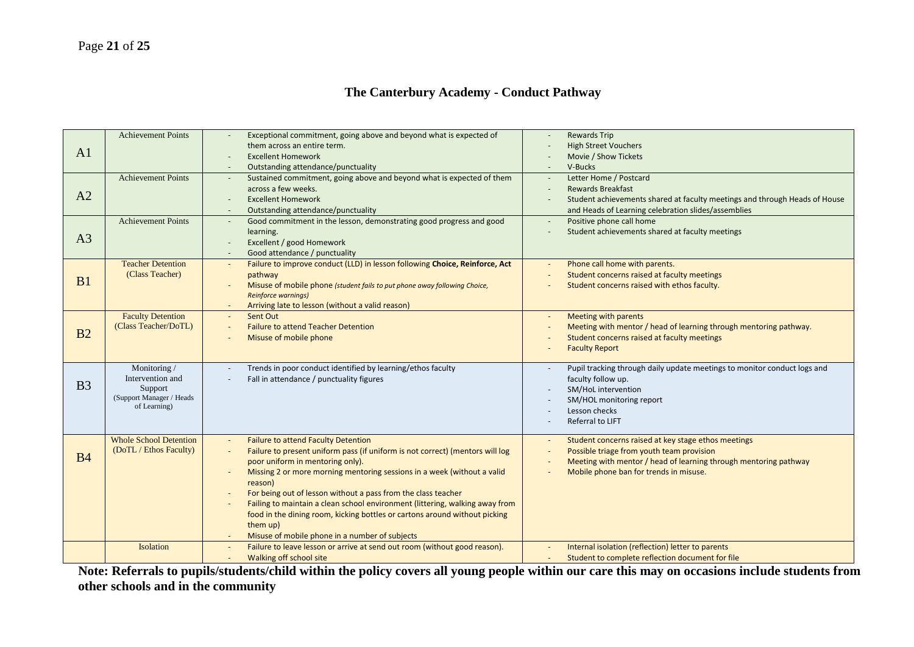#### **The Canterbury Academy - Conduct Pathway**

|                | <b>Achievement Points</b>        | Exceptional commitment, going above and beyond what is expected of                                                          | <b>Rewards Trip</b>                                                         |
|----------------|----------------------------------|-----------------------------------------------------------------------------------------------------------------------------|-----------------------------------------------------------------------------|
| A1             |                                  | them across an entire term.                                                                                                 | <b>High Street Vouchers</b>                                                 |
|                |                                  | <b>Excellent Homework</b>                                                                                                   | Movie / Show Tickets                                                        |
|                |                                  | Outstanding attendance/punctuality                                                                                          | V-Bucks                                                                     |
|                | <b>Achievement Points</b>        | Sustained commitment, going above and beyond what is expected of them                                                       | Letter Home / Postcard                                                      |
| A2             |                                  | across a few weeks.                                                                                                         | <b>Rewards Breakfast</b>                                                    |
|                |                                  | <b>Excellent Homework</b>                                                                                                   | Student achievements shared at faculty meetings and through Heads of House  |
|                |                                  | Outstanding attendance/punctuality                                                                                          | and Heads of Learning celebration slides/assemblies                         |
|                | <b>Achievement Points</b>        | Good commitment in the lesson, demonstrating good progress and good                                                         | Positive phone call home<br>Student achievements shared at faculty meetings |
| A <sub>3</sub> |                                  | learning.<br>Excellent / good Homework                                                                                      |                                                                             |
|                |                                  | Good attendance / punctuality                                                                                               |                                                                             |
|                | <b>Teacher Detention</b>         | Failure to improve conduct (LLD) in lesson following Choice, Reinforce, Act                                                 | Phone call home with parents.                                               |
|                | (Class Teacher)                  | pathway                                                                                                                     | Student concerns raised at faculty meetings                                 |
| B1             |                                  | Misuse of mobile phone (student fails to put phone away following Choice,                                                   | Student concerns raised with ethos faculty.                                 |
|                |                                  | <b>Reinforce warnings)</b>                                                                                                  |                                                                             |
|                |                                  | Arriving late to lesson (without a valid reason)                                                                            |                                                                             |
|                | <b>Faculty Detention</b>         | Sent Out                                                                                                                    | Meeting with parents                                                        |
|                | (Class Teacher/DoTL)             | <b>Failure to attend Teacher Detention</b>                                                                                  | Meeting with mentor / head of learning through mentoring pathway.           |
| B2             |                                  | Misuse of mobile phone                                                                                                      | Student concerns raised at faculty meetings                                 |
|                |                                  |                                                                                                                             | <b>Faculty Report</b>                                                       |
|                |                                  |                                                                                                                             |                                                                             |
|                | Monitoring /<br>Intervention and | Trends in poor conduct identified by learning/ethos faculty                                                                 | Pupil tracking through daily update meetings to monitor conduct logs and    |
| B <sub>3</sub> | Support                          | Fall in attendance / punctuality figures                                                                                    | faculty follow up.<br>SM/HoL intervention                                   |
|                | (Support Manager / Heads         |                                                                                                                             | SM/HOL monitoring report                                                    |
|                | of Learning)                     |                                                                                                                             | Lesson checks                                                               |
|                |                                  |                                                                                                                             | Referral to LIFT                                                            |
|                |                                  |                                                                                                                             |                                                                             |
|                | <b>Whole School Detention</b>    | <b>Failure to attend Faculty Detention</b>                                                                                  | Student concerns raised at key stage ethos meetings                         |
| <b>B4</b>      | (DoTL / Ethos Faculty)           | Failure to present uniform pass (if uniform is not correct) (mentors will log                                               | Possible triage from youth team provision                                   |
|                |                                  | poor uniform in mentoring only).                                                                                            | Meeting with mentor / head of learning through mentoring pathway            |
|                |                                  | Missing 2 or more morning mentoring sessions in a week (without a valid                                                     | Mobile phone ban for trends in misuse.                                      |
|                |                                  | reason)                                                                                                                     |                                                                             |
|                |                                  | For being out of lesson without a pass from the class teacher                                                               |                                                                             |
|                |                                  | Failing to maintain a clean school environment (littering, walking away from                                                |                                                                             |
|                |                                  | food in the dining room, kicking bottles or cartons around without picking                                                  |                                                                             |
|                |                                  | them up)                                                                                                                    |                                                                             |
|                | Isolation                        | Misuse of mobile phone in a number of subjects<br>Failure to leave lesson or arrive at send out room (without good reason). | Internal isolation (reflection) letter to parents                           |
|                |                                  | Walking off school site                                                                                                     | Student to complete reflection document for file                            |
|                |                                  |                                                                                                                             |                                                                             |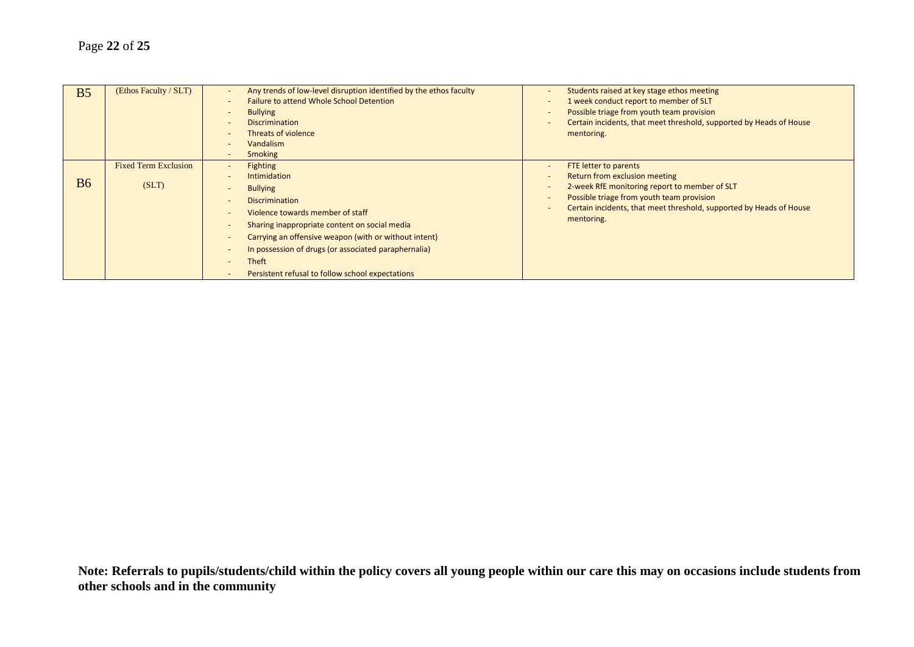| B <sub>5</sub> | (Ethos Faculty / SLT)                | Any trends of low-level disruption identified by the ethos faculty<br><b>Failure to attend Whole School Detention</b><br><b>Bullying</b><br><b>Discrimination</b><br><b>Threats of violence</b><br><b>Vandalism</b><br><b>Smoking</b>                                                                                                                 | Students raised at key stage ethos meeting<br>1 week conduct report to member of SLT<br>Possible triage from youth team provision<br>Certain incidents, that meet threshold, supported by Heads of House<br>mentoring.                    |
|----------------|--------------------------------------|-------------------------------------------------------------------------------------------------------------------------------------------------------------------------------------------------------------------------------------------------------------------------------------------------------------------------------------------------------|-------------------------------------------------------------------------------------------------------------------------------------------------------------------------------------------------------------------------------------------|
| <b>B6</b>      | <b>Fixed Term Exclusion</b><br>(SLT) | <b>Fighting</b><br><b>Intimidation</b><br><b>Bullying</b><br><b>Discrimination</b><br>Violence towards member of staff<br>Sharing inappropriate content on social media<br>Carrying an offensive weapon (with or without intent)<br>In possession of drugs (or associated paraphernalia)<br>Theft<br>Persistent refusal to follow school expectations | FTE letter to parents<br>Return from exclusion meeting<br>2-week RfE monitoring report to member of SLT<br>Possible triage from youth team provision<br>Certain incidents, that meet threshold, supported by Heads of House<br>mentoring. |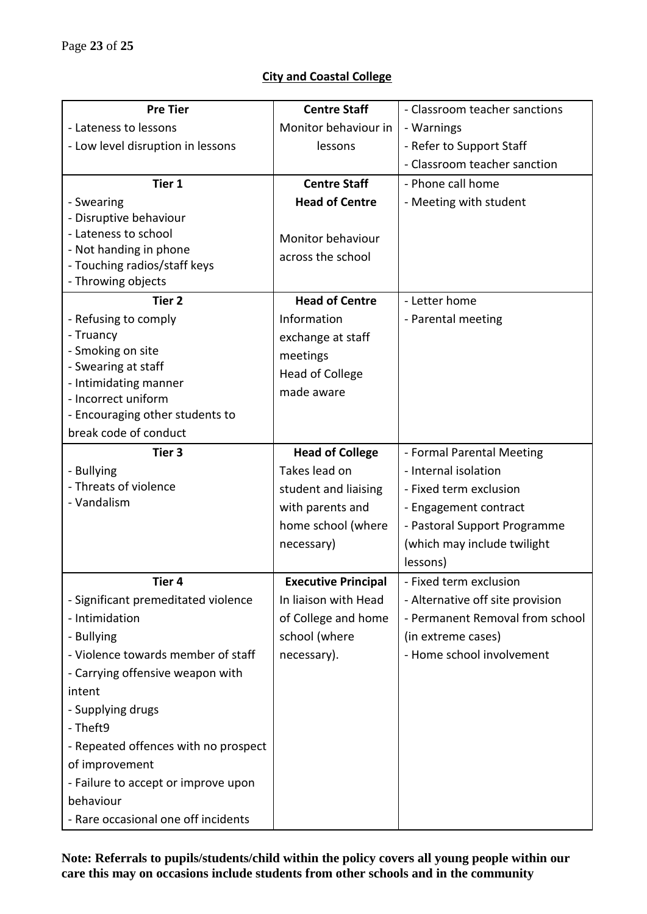#### **City and Coastal College**

| <b>Pre Tier</b>                         | <b>Centre Staff</b>        | - Classroom teacher sanctions    |
|-----------------------------------------|----------------------------|----------------------------------|
| - Lateness to lessons                   | Monitor behaviour in       | - Warnings                       |
| - Low level disruption in lessons       | lessons                    | - Refer to Support Staff         |
|                                         |                            | - Classroom teacher sanction     |
| Tier 1                                  | <b>Centre Staff</b>        | - Phone call home                |
| - Swearing                              | <b>Head of Centre</b>      | - Meeting with student           |
| - Disruptive behaviour                  |                            |                                  |
| - Lateness to school                    | Monitor behaviour          |                                  |
| - Not handing in phone                  | across the school          |                                  |
| - Touching radios/staff keys            |                            |                                  |
| - Throwing objects<br>Tier <sub>2</sub> |                            |                                  |
|                                         | <b>Head of Centre</b>      | - Letter home                    |
| - Refusing to comply<br>- Truancy       | Information                | - Parental meeting               |
| - Smoking on site                       | exchange at staff          |                                  |
| - Swearing at staff                     | meetings                   |                                  |
| - Intimidating manner                   | <b>Head of College</b>     |                                  |
| - Incorrect uniform                     | made aware                 |                                  |
| - Encouraging other students to         |                            |                                  |
| break code of conduct                   |                            |                                  |
| Tier <sub>3</sub>                       | <b>Head of College</b>     | - Formal Parental Meeting        |
| - Bullying                              | Takes lead on              | - Internal isolation             |
| - Threats of violence                   | student and liaising       | - Fixed term exclusion           |
| - Vandalism                             | with parents and           | - Engagement contract            |
|                                         | home school (where         | - Pastoral Support Programme     |
|                                         | necessary)                 | (which may include twilight      |
|                                         |                            | lessons)                         |
| Tier 4                                  | <b>Executive Principal</b> | - Fixed term exclusion           |
| - Significant premeditated violence     | In liaison with Head       | - Alternative off site provision |
| - Intimidation                          | of College and home        | - Permanent Removal from school  |
| - Bullying                              | school (where              | (in extreme cases)               |
| - Violence towards member of staff      | necessary).                | - Home school involvement        |
| - Carrying offensive weapon with        |                            |                                  |
| intent                                  |                            |                                  |
| - Supplying drugs                       |                            |                                  |
| - Theft9                                |                            |                                  |
| - Repeated offences with no prospect    |                            |                                  |
| of improvement                          |                            |                                  |
| - Failure to accept or improve upon     |                            |                                  |
| behaviour                               |                            |                                  |
| - Rare occasional one off incidents     |                            |                                  |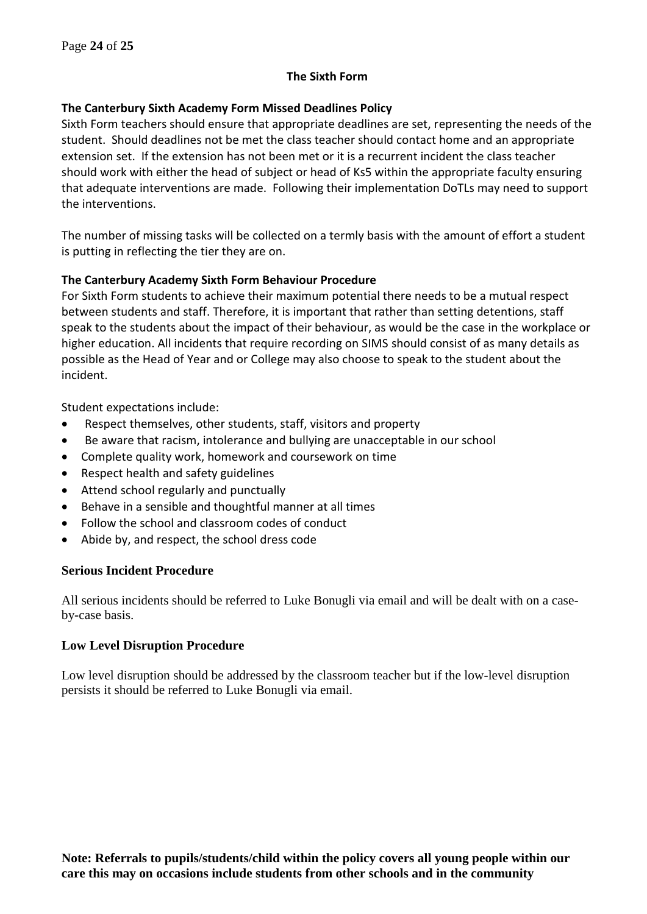#### **The Sixth Form**

#### **The Canterbury Sixth Academy Form Missed Deadlines Policy**

Sixth Form teachers should ensure that appropriate deadlines are set, representing the needs of the student. Should deadlines not be met the class teacher should contact home and an appropriate extension set. If the extension has not been met or it is a recurrent incident the class teacher should work with either the head of subject or head of Ks5 within the appropriate faculty ensuring that adequate interventions are made. Following their implementation DoTLs may need to support the interventions.

The number of missing tasks will be collected on a termly basis with the amount of effort a student is putting in reflecting the tier they are on.

#### **The Canterbury Academy Sixth Form Behaviour Procedure**

For Sixth Form students to achieve their maximum potential there needs to be a mutual respect between students and staff. Therefore, it is important that rather than setting detentions, staff speak to the students about the impact of their behaviour, as would be the case in the workplace or higher education. All incidents that require recording on SIMS should consist of as many details as possible as the Head of Year and or College may also choose to speak to the student about the incident.

Student expectations include:

- Respect themselves, other students, staff, visitors and property
- Be aware that racism, intolerance and bullying are unacceptable in our school
- Complete quality work, homework and coursework on time
- Respect health and safety guidelines
- Attend school regularly and punctually
- Behave in a sensible and thoughtful manner at all times
- Follow the school and classroom codes of conduct
- Abide by, and respect, the school dress code

#### **Serious Incident Procedure**

All serious incidents should be referred to Luke Bonugli via email and will be dealt with on a caseby-case basis.

#### **Low Level Disruption Procedure**

Low level disruption should be addressed by the classroom teacher but if the low-level disruption persists it should be referred to Luke Bonugli via email.